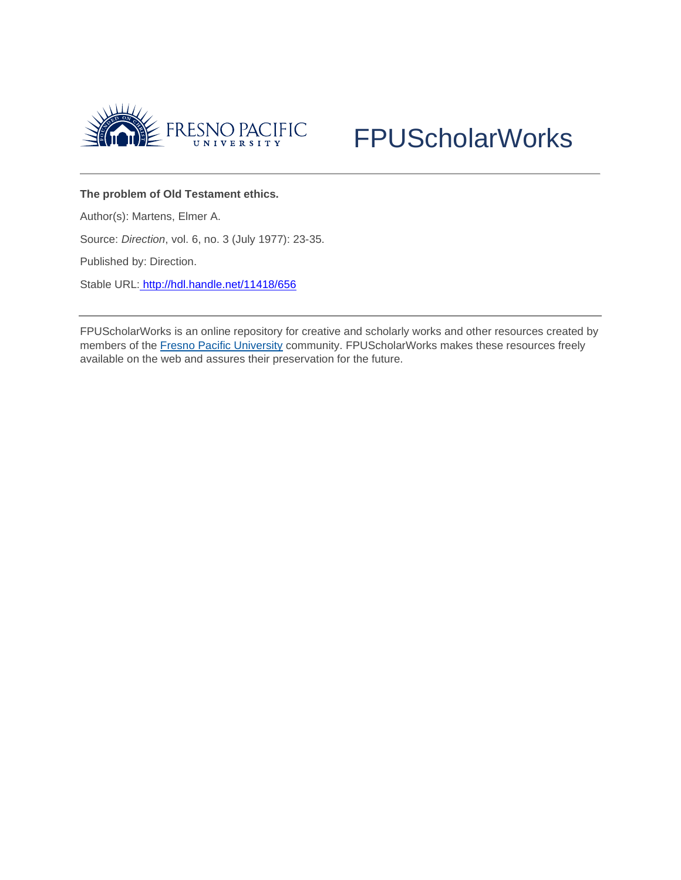



## **The problem of Old Testament ethics.**

Author(s): Martens, Elmer A.

Source: *Direction*, vol. 6, no. 3 (July 1977): 23-35.

Published by: Direction.

Stable URL: <http://hdl.handle.net/11418/656>

FPUScholarWorks is an online repository for creative and scholarly works and other resources created by members of the [Fresno Pacific University](http://www.fresno.edu/) community. FPUScholarWorks makes these resources freely available on the web and assures their preservation for the future.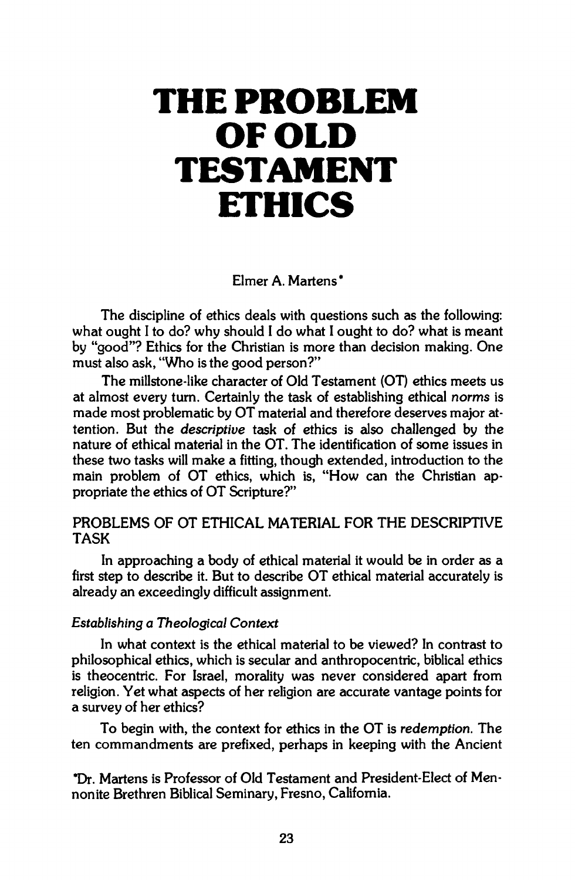# **THE PROBLEM OF OLD TESTAMENT ETHICS**

**Elmer A. Martens\*** 

**The discipline of ethics deals with questions such as the following: what ought I to do? why should I do what I ought to do? what is meant by "good"? Ethics for the Christian is more than decision making. One must also ask, "Who is the good person?"** 

**The millstone-like character of Old Testament (OT) ethics meets us at almost every turn. Certainly the task of establishing ethical** *norms* **is made most problematic by OT material and therefore deserves major attention. But the** *descriptive* **task of ethics is also challenged by the nature of ethical material in the OT. The identification of some issues in these two tasks will make a fitting, though extended, introduction to the main problem of OT ethics, which is, "How can the Christian appropriate the ethics of OT Scripture?"** 

## **PROBLEMS OF OT ETHICAL MATERIAL FOR THE DESCRIPTIVE TASK**

**In approaching a body of ethical material it would be in order as a first step to describe it. But to describe OT ethical material accurately is already an exceedingly difficult assignment.** 

#### *Establishing a Theological Context*

**In what context is the ethical material to be viewed? In contrast to philosophical ethics, which is secular and anthropocentric, biblical ethics is theocentric. For Israel, morality was never considered apart from religion. Yet what aspects of her religion are accurate vantage points for a survey of her ethics?** 

**To begin with, the context for ethics in the OT is** *redemption.* **The ten commandments are prefixed, perhaps in keeping with the Ancient** 

**\*Dr. Martens is Professor of Old Testament and President-Elect of Mennonite Brethren Biblical Seminary, Fresno, California.**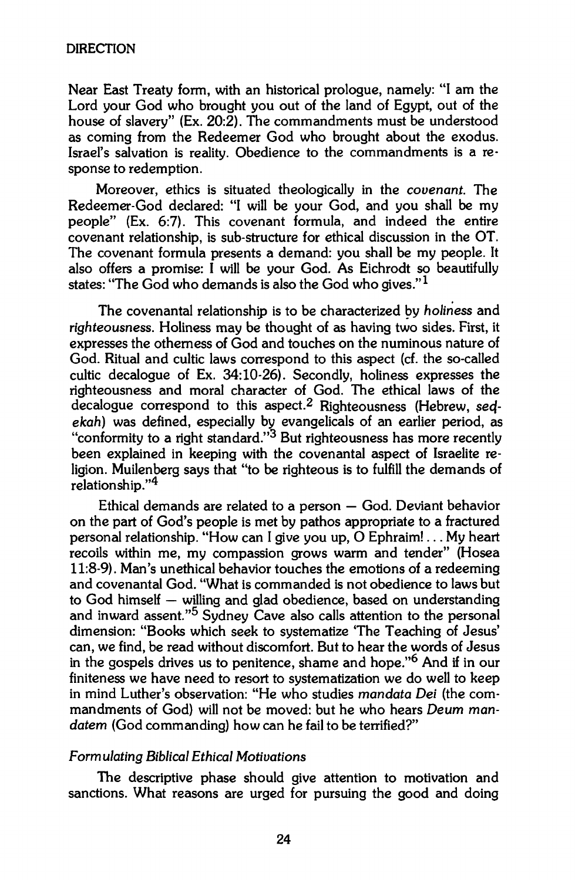**Near East Treaty form, with an historical prologue, namely: "I am the Lord your God who brought you out of the land of Egypt, out of the house of slavery" (Ex. 20:2). The commandments must be understood as coming from the Redeemer God who brought about the exodus. Israel's salvation is reality. Obedience to the commandments is a response to redemption.** 

**Moreover, ethics is situated theologically in the** *covenant* **The Redeemer-God declared: "I will be your God, and you shall be my people" (Ex. 6:7). This covenant formula, and indeed the entire covenant relationship, is sub-structure for ethical discussion in the OT. The covenant formula presents a demand: you shall be my people. It also offers a promise: I will be your God. As Eichrodt so beautifully states: "The God who demands is also the God who gives."<sup>1</sup>**

**The covenantal relationship is to be characterized by** *holiness* **and**  *righteousness.* **Holiness may be thought of as having two sides. First, it expresses the otherness of God and touches on the numinous nature of God. Ritual and cultic laws correspond to this aspect (cf. the so-called cultic decalogue of Ex. 34:10-26). Secondly, holiness expresses the righteousness and moral character of God. The ethical laws of the decalogue correspond to this aspect.<sup>2</sup> Righteousness (Hebrew, secf***ekah)* **was defined, especially by evangelicals of an earlier period, as "conformity to a right standard."<sup>3</sup> But righteousness has more recently been explained in keeping with the covenantal aspect of Israelite religion. Muilenberg says that "to be righteous is to fulfill the demands of relationship."<sup>4</sup>**

**Ethical demands are related to a person — God. Deviant behavior on the part of God's people is met by pathos appropriate to a fractured personal relationship. "How can I give you up, 0 Ephraim!... My heart recoils within me, my compassion grows warm and tender" (Hosea 11:8-9). Man's unethical behavior touches the emotions of a redeeming and covenantal God. "What is commanded is not obedience to laws but to God himself — willing and glad obedience, based on understanding and inward assent."<sup>5</sup> Sydney Cave also calls attention to the personal dimension: "Books which seek to systematize The Teaching of Jesus' can, we find, be read without discomfort. But to hear the words of Jesus in the gospels drives us to penitence, shame and hope."<sup>6</sup> And if in our finiteness we have need to resort to systematization we do well to keep in mind Luther's observation: "He who studies** *mandata Dei* **(the commandments of God) will not be moved: but he who hears** *Deum mandatem* **(God commanding) how can he fail to be terrified?"** 

#### *Formulating Biblical Ethical Motivations*

**The descriptive phase should give attention to motivation and sanctions. What reasons are urged for pursuing the good and doing**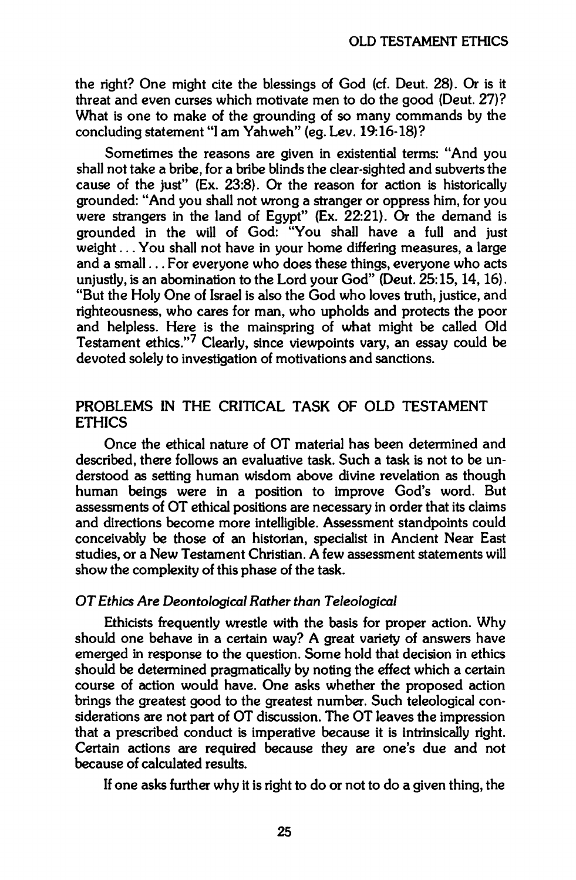**the right? One might cite the blessings of God (cf. Deut. 28). Or is it threat and even curses which motivate men to do the good (Deut. 27)? What is one to make of the grounding of so many commands by the concluding statement "I am Yahweh" (eg. Lev. 19:16-18)?** 

**Sometimes the reasons are given in existential terms: "And you shall not take a bribe, for a bribe blinds the clear-sighted and subverts the cause of the just" (Ex. 23:8). Or the reason for action is historically grounded: "And you shall not wrong a stranger or oppress him, for you were strangers in the land of Egypt" (Ex. 22:21). Or the demand is grounded in the will of God: "You shall have a full and just weight... You shall not have in your home differing measures, a large and a small... For everyone who does these things, everyone who acts unjustly, is an abomination to the Lord your God" (Deut. 25:15,14,16). "But the Holy One of Israel is also the God who loves truth, justice, and righteousness, who cares for man, who upholds and protects the poor and helpless. Here is the mainspring of what might be called Old Testament ethics."<sup>7</sup> Clearly, since viewpoints vary, an essay could be devoted solely to investigation of motivations and sanctions.** 

## **PROBLEMS IN THE CRITICAL TASK OF OLD TESTAMENT ETHICS**

**Once the ethical nature of OT material has been determined and described, there follows an evaluative task. Such a task is not to be understood as setting human wisdom above divine revelation as though human beings were in a position to improve God's word. But assessments of OT ethical positions are necessary in order that its claims and directions become more intelligible. Assessment standpoints could conceivably be those of an historian, specialist in Ancient Near East studies, or a New Testament Christian. A few assessment statements will show the complexity of this phase of the task.** 

#### *OT Ethics Are Deontological Rather than Teleological*

**Ethicists frequently wrestle with the basis for proper action. Why should one behave in a certain way? A great variety of answers have emerged in response to the question. Some hold that decision in ethics should be determined pragmatically by noting the effect which a certain course of action would have. One asks whether the proposed action brings the greatest good to the greatest number. Such teleological considerations are not part of OT discussion. The OT leaves the impression that a prescribed conduct is imperative because it is intrinsically right. Certain actions are required because they are one's due and not because of calculated results.** 

**If one asks further why it is right to do or not to do a given thing, the**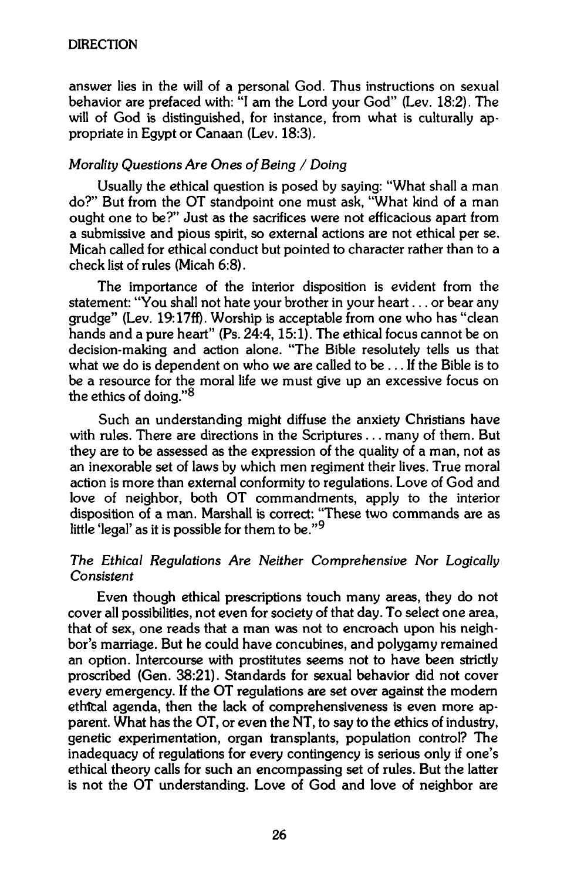**answer lies in the will of a personal God. Thus instructions on sexual behavior are prefaced with: "I am the Lord your God" (Lev. 18:2). The**  will of God is distinguished, for instance, from what is culturally ap**propriate in Egypt or Canaan (Lev. 18:3).** 

## *Morality Questions Are Ones of Being / Doing*

**Usually the ethical question is posed by saying: "What shall a man do?" But from the OT standpoint one must ask, "What kind of a man ought one to be?" Just as the sacrifices were not efficacious apart from a submissive and pious spirit, so external actions are not ethical per se. Micah called for ethical conduct but pointed to character rather than to a check list of rules (Micah 6:8).** 

**The importance of the interior disposition is evident from the statement: "You shall not hate your brother in your heart... or bear any grudge" (Lev. 19:17ff). Worship is acceptable from one who has "clean hands and a pure heart" (Ps. 24:4,15:1). The ethical focus cannot be on decision-making and action alone. "The Bible resolutely tells us that what we do is dependent on who we are called to be ... If the Bible is to be a resource for the moral life we must give up an excessive focus on the ethics of doing."<sup>8</sup>**

**Such an understanding might diffuse the anxiety Christians have with rules. There are directions in the Scriptures ... many of them. But they are to be assessed as the expression of the quality of a man, not as an inexorable set of laws by which men regiment their lives. True moral action is more than external conformity to regulations. Love of God and love of neighbor, both OT commandments, apply to the interior disposition of a man. Marshall is correct: "These two commands are as little 'legal' as it is possible for them to be."<sup>9</sup>**

## *The Ethical Regulations Are Neither Comprehensive Nor Logically Consistent*

**Even though ethical prescriptions touch many areas, they do not cover all possibilities, not even for society of that day. To select one area, that of sex, one reads that a man was not to encroach upon his neighbor's marriage. But he could have concubines, and polygamy remained an option. Intercourse with prostitutes seems not to have been strictly proscribed (Gen. 38:21). Standards for sexual behavior did not cover every emergency. If the OT regulations are set over against the modern ethîcal agenda, then the lack of comprehensiveness is even more apparent. What has the OT, or even the NT, to say to the ethics of industry, genetic experimentation, organ transplants, population control? The inadequacy of regulations for every contingency is serious only if one's ethical theory calls for such an encompassing set of rules. But the latter is not the OT understanding. Love of God and love of neighbor are**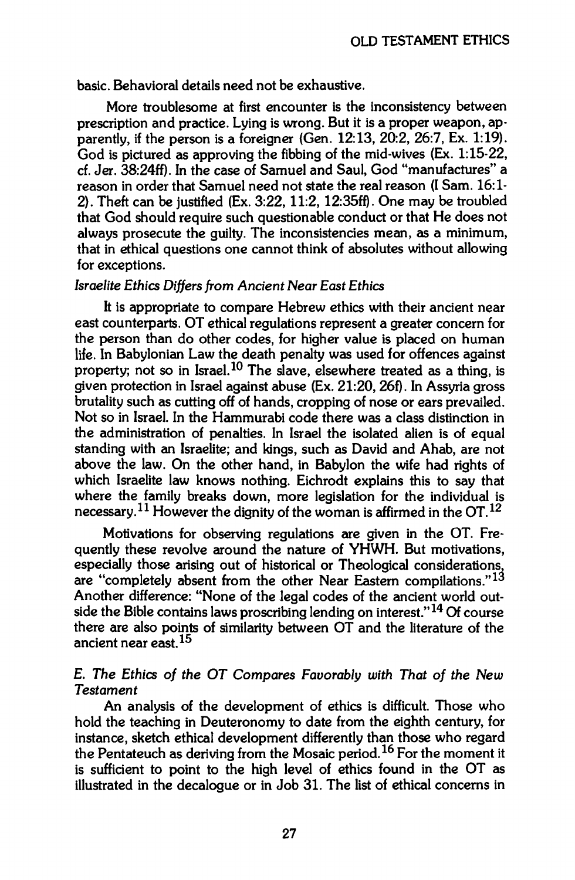**basic. Behavioral details need not be exhaustive.** 

**More troublesome at first encounter is the inconsistency between prescription and practice. Lying is wrong. But it is a proper weapon, apparently, if the person is a foreigner (Gen. 12:13, 20:2, 26:7, Ex. 1:19). God is pictured as approving the fibbing of the mid-wives (Ex. 1:15-22, cf. Jer. 38:24ff). In the case of Samuel and Saul, God "manufactures" a reason in order that Samuel need not state the real reason (I Sam. 16:1- 2). Theft can be justified (Ex. 3:22, 11:2, 12:35ff). One may be troubled that God should require such questionable conduct or that He does not always prosecute the guilty. The inconsistencies mean, as a minimum, that in ethical questions one cannot think of absolutes without allowing for exceptions.** 

#### *Israelite Ethics Differs from Ancient Near East Ethics*

**It is appropriate to compare Hebrew ethics with their ancient near east counterparts. OT ethical regulations represent a greater concern for the person than do other codes, for higher value is placed on human life. In Babylonian Law the death penalty was used for offences against property; not so in Israel.<sup>10</sup> The slave, elsewhere treated as a thing, is given protection in Israel against abuse (Ex. 21:20, 26f). In Assyria gross brutality such as cutting off of hands, cropping of nose or ears prevailed. Not so in Israel. In the Hammurabi code there was a class distinction in the administration of penalties. In Israel the isolated alien is of equal standing with an Israelite; and kings, such as David and Ahab, are not above the law. On the other hand, in Babylon the wife had rights of which Israelite law knows nothing. Eichrodt explains this to say that where the family breaks down, more legislation for the individual is necessary.<sup>11</sup> However the dignity of the woman is affirmed in the OT.<sup>12</sup>**

**Motivations for observing regulations are given in the OT. Frequently these revolve around the nature of YHWH. But motivations, especially those arising out of historical or Theological considerations, are "completely absent from the other Near Eastern compilations."<sup>1</sup> ^ Another difference: "None of the legal codes of the ancient world outside the Bible contains laws proscribing lending on interest."<sup>14</sup> Of course there are also points of similarity between OT and the literature of the ancient near east.<sup>15</sup>**

## **E.** *The Ethics of the OT Compares Favorably with That of the New Testament*

**An analysis of the development of ethics is difficult. Those who hold the teaching in Deuteronomy to date from the eighth century, for instance, sketch ethical development differently than those who regard the Pentateuch as deriving from the Mosaic period.<sup>16</sup> For the moment it is sufficient to point to the high level of ethics found in the OT as illustrated in the decalogue or in Job 31. The list of ethical concerns in**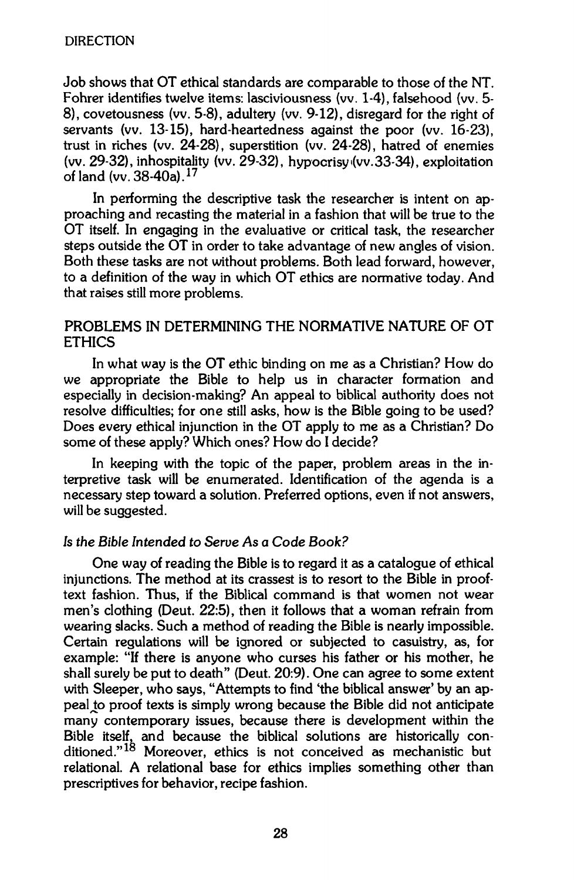**Job shows that OT ethical standards are comparable to those of the NT. Fohrer identifies twelve items: lasciviousness (vv. 1-4), falsehood (vv. 5- 8), covetousness (vv. 5-8), adultery (vv. 9-12), disregard for the right of servants (vv. 13-15), hard-heartedness against the poor (vv. 16-23), trust in riches (vv. 24-28), superstition (vv. 24-28), hatred of enemies**  (vv. 29-32), inhospitality (vv. 29-32), hypocrisy (vv. 33-34), exploitation **ofland(vv.38-40a).<sup>17</sup>**

**In performing the descriptive task the researcher is intent on approaching and recasting the material in a fashion that will be true to the OT itself. In engaging in the evaluative or critical task, the researcher steps outside the OT in order to take advantage of new angles of vision. Both these tasks are not without problems. Both lead forward, however, to a definition of the way in which OT ethics are normative today. And that raises still more problems.** 

## **PROBLEMS IN DETERMINING THE NORMATIVE NATURE OF OT ETHICS**

**In what way is the OT ethic binding on me as a Christian? How do we appropriate the Bible to help us in character formation and especially in decision-making? An appeal to biblical authority does not resolve difficulties; for one still asks, how is the Bible going to be used? Does every ethical injunction in the OT apply to me as a Christian? Do some of these apply? Which ones? How do I decide?** 

**In keeping with the topic of the paper, problem areas in the interpretive task will be enumerated. Identification of the agenda is a necessary step toward a solution. Preferred options, even if not answers, will be suggested.** 

#### *Is the Bible Intended to Serve As a Code Book?*

**One way of reading the Bible is to regard it as a catalogue of ethical injunctions. The method at its crassest is to resort to the Bible in prooftext fashion. Thus, if the Biblical command is that women not wear men's clothing (Deut. 22:5), then it follows that a woman refrain from wearing slacks. Such a method of reading the Bible is nearly impossible. Certain regulations will be ignored or subjected to casuistry, as, for example: "If there is anyone who curses his father or his mother, he shall surely be put to death" (Deut. 20:9). One can agree to some extent with Sleeper, who says, "Attempts to find 'the biblical answer' by an ap**peal to proof texts is simply wrong because the Bible did not anticipate **many contemporary issues, because there is development within the Bible itself, and because the biblical solutions are historically conditioned."<sup>18</sup> Moreover, ethics is not conceived as mechanistic but relational. A relational base for ethics implies something other than prescript!ves for behavior, recipe fashion.**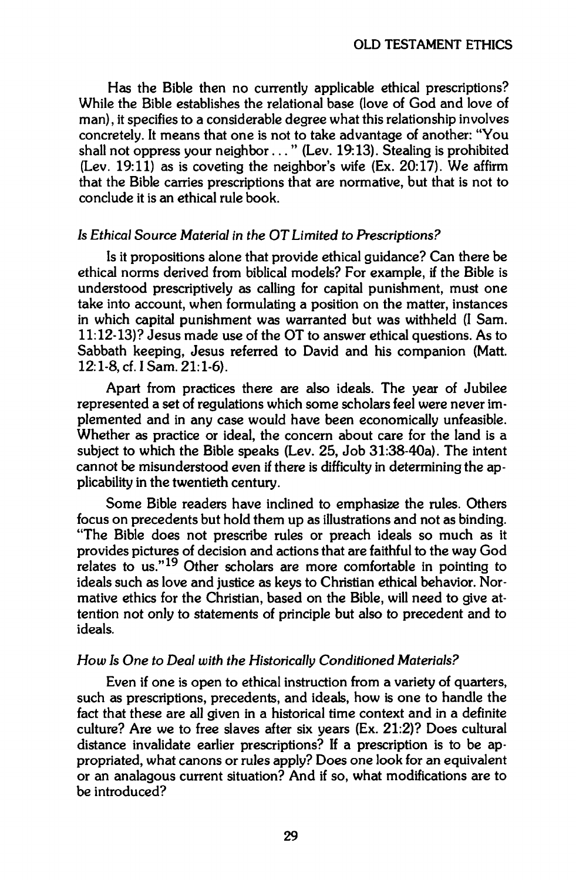**Has the Bible then no currently applicable ethical prescriptions? While the Bible establishes the relational base (love of God and love of man), it specifies to a considerable degree what this relationship involves concretely. It means that one is not to take advantage of another: "You shall not oppress your neighbor..." (Lev. 19:13). Stealing is prohibited (Lev. 19:11) as is coveting the neighbor's wife (Ex. 20:17). We affirm that the Bible carries prescriptions that are normative, but that is not to conclude it is an ethical rule book.** 

#### *Is Ethical Source Material in the OT Limited to Prescriptions?*

**Is it propositions alone that provide ethical guidance? Can there be ethical norms derived from biblical models? For example, if the Bible is understood prescriptively as calling for capital punishment, must one take into account, when formulating a position on the matter, instances in which capital punishment was warranted but was withheld (I Sam. 11:12-13)? Jesus made use of the OT to answer ethical questions. As to Sabbath keeping, Jesus referred to David and his companion (Matt. 12:1-8, cf. I Sam. 21:1-6).** 

**Apart from practices there are also ideals. The year of Jubilee represented a set of regulations which some scholars feel were never implemented and in any case would have been economically unfeasible. Whether as practice or ideal, the concern about care for the land is a subject to which the Bible speaks (Lev. 25, Job 31:38-40a). The intent cannot be misunderstood even if there is difficulty in determining the applicability in the twentieth century.** 

**Some Bible readers have inclined to emphasize the rules. Others focus on precedents but hold them up as illustrations and not as binding. "The Bible does not prescribe rules or preach ideals so much as it provides pictures of decision and actions that are faithful to the way God relates to us."<sup>19</sup> Other scholars are more comfortable in pointing to ideals such as love and justice as keys to Christian ethical behavior. Normative ethics for the Christian, based on the Bible, will need to give attention not only to statements of principle but also to precedent and to ideals.** 

#### *How Is One to Deal with the Historically Conditioned Materials?*

**Even if one is open to ethical instruction from a variety of quarters, such as prescriptions, precedents, and ideals, how is one to handle the fact that these are all given in a historical time context and in a definite culture? Are we to free slaves after six years (Ex. 21:2)? Does cultural distance invalidate earlier prescriptions? If a prescription is to be appropriated, what canons or rules apply? Does one look for an equivalent or an analagous current situation? And if so, what modifications are to be introduced?**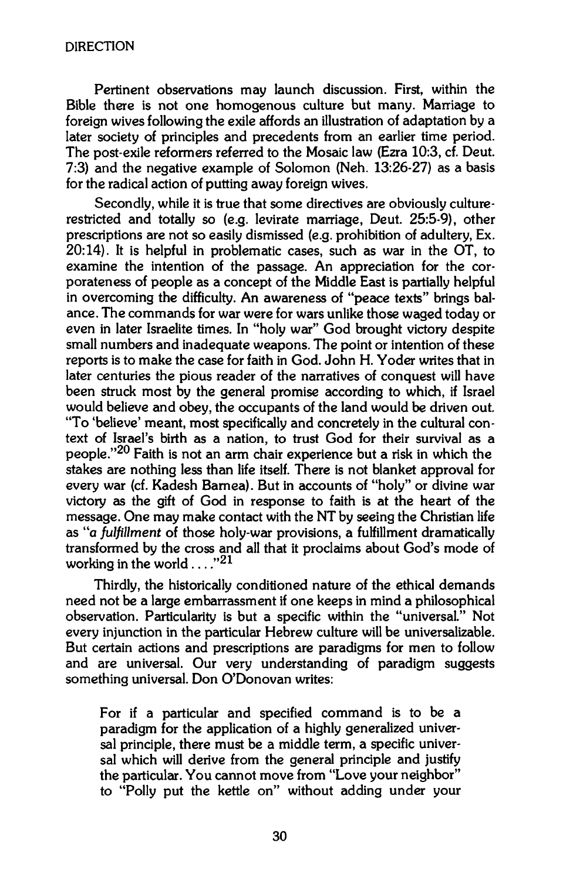**Pertinent observations may launch discussion. First, within the Bible there is not one homogenous culture but many. Marriage to foreign wives following the exile affords an illustration of adaptation by a later society of principles and precedents from an earlier time period. The post-exile reformers referred to the Mosaic law (Ezra 10:3, cf. Deut. 7:3) and the negative example of Solomon (Neh. 13:26-27) as a basis for the radical action of putting away foreign wives.** 

**Secondly, while it is true that some directives are obviously culturerestricted and totally so (e.g. levirate marriage, Deut. 25:5-9), other prescriptions are not so easily dismissed (e.g. prohibition of adultery, Ex. 20:14). It is helpful in problematic cases, such as war in the OT, to examine the intention of the passage. An appreciation for the corporateness of people as a concept of the Middle East is partially helpful in overcoming the difficulty. An awareness of "peace texts" brings balance. The commands for war were for wars unlike those waged today or even in later Israelite times. In "holy war" God brought victory despite small numbers and inadequate weapons. The point or intention of these reports is to make the case for faith in God. John H. Yoder writes that in later centuries the pious reader of the narratives of conquest will have been struck most by the general promise according to which, if Israel would believe and obey, the occupants of the land would be driven out. "To 'believe' meant, most specifically and concretely in the cultural context of Israel's birth as a nation, to trust God for their survival as a people."<sup>2</sup> ^ Faith is not an arm chair experience but a risk in which the stakes are nothing less than life itself. There is not blanket approval for every war (cf. Kadesh Barnea). But in accounts of "holy" or divine war victory as the gift of God in response to faith is at the heart of the message. One may make contact with the NT by seeing the Christian life as "a** *fulfillment* **of those holy-war provisions, a fulfillment dramatically transformed by the cross and all that it proclaims about God's mode of**  working in the world . . . . "<sup>21</sup>

**Thirdly, the historically conditioned nature of the ethical demands need not be a large embarrassment if one keeps in mind a philosophical observation. Particularity is but a specific within the "universal." Not every injunction in the particular Hebrew culture will be universalizable. But certain actions and prescriptions are paradigms for men to follow and are universal. Our very understanding of paradigm suggests something universal. Don O'Donovan writes:** 

**For if a particular and specified command is to be a paradigm for the application of a highly generalized universal principle, there must be a middle term, a specific universal which will derive from the general principle and justify the particular. You cannot move from "Love your neighbor" to "Polly put the kettle on" without adding under your**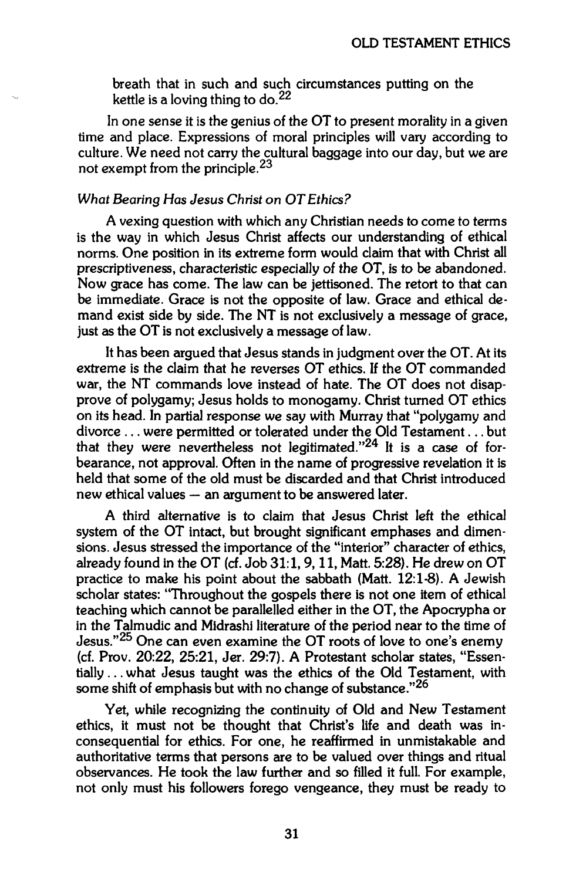**breath that in such and such circumstances putting on the kettle is a loving thing to do.<sup>22</sup>**

**In one sense it is the genius of the OT to present morality in a given time and place. Expressions of moral principles will vary according to culture. We need not carry the cultural baggage into our day, but we are not exempt from the principle.<sup>23</sup>**

#### *What Bearing Has Jesus Christ on OT Ethics?*

**A vexing question with which any Christian needs to come to terms is the way in which Jesus Christ affects our understanding of ethical norms. One position in its extreme form would claim that with Christ all prescriptiveness, characteristic especially of the OT, is to be abandoned. Now grace has come. The law can be jettisoned. The retort to that can be immediate. Grace is not the opposite of law. Grace and ethical demand exist side by side. The NT is not exclusively a message of grace, just as the OT is not exclusively a message of law.** 

**It has been argued that Jesus stands in judgment over the OT. At its extreme is the claim that he reverses OT ethics. If the OT commanded war, the NT commands love instead of hate. The OT does not disapprove of polygamy; Jesus holds to monogamy. Christ turned OT ethics on its head. In partial response we say with Murray that "polygamy and divorce ... were permitted or tolerated under the Old Testament... but that they were nevertheless not legitimated."<sup>24</sup> It is a case of forbearance, not approval. Often in the name of progressive revelation it is held that some of the old must be discarded and that Christ introduced new ethical values — an argument to be answered later.** 

**A third alternative is to claim that Jesus Christ left the ethical system of the OT intact, but brought significant emphases and dimensions. Jesus stressed the importance of the "interior" character of ethics, already found in the OT (cf. Job 31:1,9,11, Matt. 5:28). He drew on OT practice to make his point about the sabbath (Matt. 12:1-8). A Jewish scholar states: "Throughout the gospels there is not one item of ethical teaching which cannot be parallelled either in the OT, the Apocrypha or in the Talmudic and Midrashi literature of the period near to the time of Jesus."<sup>25</sup> One can even examine the OT roots of love to one's enemy (cf. Prov. 20:22, 25:21, Jer. 29:7). A Protestant scholar states, "Essentially ... what Jesus taught was the ethics of the Old Testament, with some shift of emphasis but with no change of substance."<sup>26</sup>**

**Yet, while recognizing the continuity of Old and New Testament ethics, it must not be thought that Christ's life and death was inconsequential for ethics. For one, he reaffirmed in unmistakable and authoritative terms that persons are to be valued over things and ritual observances. He took the law further and so filled it full. For example, not only must his followers forego vengeance, they must be ready to**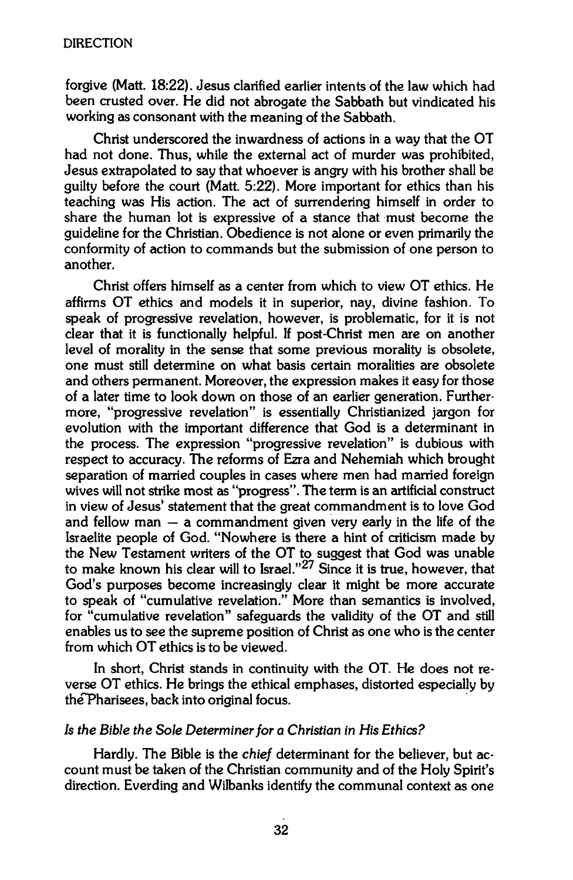**forgive (Matt. 18:22). Jesus clarified earlier intents of the law which had been crusted over. He did not abrogate the Sabbath but vindicated his working as consonant with the meaning of the Sabbath.** 

**Christ underscored the inwardness of actions in a way that the OT had not done. Thus, while the external act of murder was prohibited, Jesus extrapolated to say that whoever is angry with his brother shall be guilty before the court (Matt. 5:22). More important for ethics than his teaching was His action. The act of surrendering himself in order to share the human lot is expressive of a stance that must become the guideline for the Christian. Obedience is not alone or even primarily the conformity of action to commands but the submission of one person to another.** 

**Christ offers himself as a center from which to view OT ethics. He affirms OT ethics and models it in superior, nay, divine fashion. To speak of progressive revelation, however, is problematic, for it is not clear that it is functionally helpful. If post-Christ men are on another level of morality in the sense that some previous morality is obsolete, one must still determine on what basis certain moralities are obsolete and others permanent. Moreover, the expression makes it easy for those of a later time to look down on those of an earlier generation. Furthermore, "progressive revelation" is essentially Christianized jargon for evolution with the important difference that God is a determinant in the process. The expression "progressive revelation" is dubious with respect to accuracy. The reforms of Ezra and Nehemiah which brought separation of married couples in cases where men had married foreign wives will not strike most as "progress". The term is an artificial construct in view of Jesus' statement that the great commandment is to love God and fellow man — a commandment given very early in the life of the Israelite people of God. "Nowhere is there a hint of criticism made by the New Testament writers of the OT to suggest that God was unable to make known his clear will to Israel."<sup>27</sup> Since it is true, however, that God's purposes become increasingly clear it might be more accurate to speak of "cumulative revelation." More than semantics is involved, for "cumulative revelation" safeguards the validity of the OT and still enables us to see the supreme position of Christ as one who is the center from which OT ethics is to be viewed.** 

**In short, Christ stands in continuity with the OT. He does not reverse OT ethics. He brings the ethical emphases, distorted especially by theTPharisees, back into original focus.** 

#### *Is the Bible the Sole Determiner for a Christian in His Ethics?*

**Hardly. The Bible is the** *chief* **determinant for the believer, but account must be taken of the Christian community and of the Holy Spirit's direction. Everding and Wilbanks identify the communal context as one**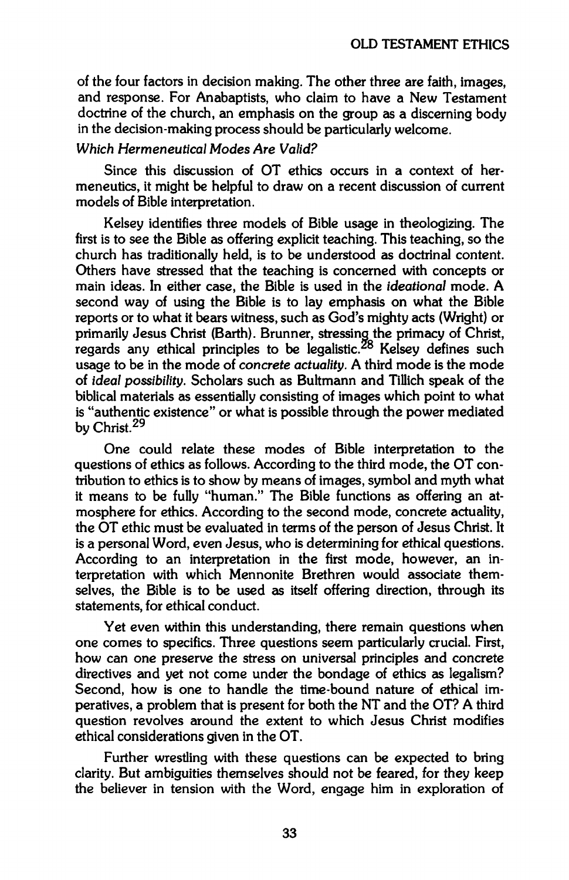**of the four factors in decision making. The other three are faith, images, and response. For Anabaptists, who claim to have a New Testament doctrine of the church, an emphasis on the group as a discerning body in the decision-making process should be particularly welcome.** 

## *Which Hermeneutical Modes Are Valid?*

**Since this discussion of OT ethics occurs in a context of hermeneutics, it might be helpful to draw on a recent discussion of current models of Bible interpretation.** 

**Kelsey identifies three models of Bible usage in theologizing. The first is to see the Bible as offering explicit teaching. This teaching, so the church has traditionally held, is to be understood as doctrinal content. Others have stressed that the teaching is concerned with concepts or main ideas. In either case, the Bible is used in the** *ideational* **mode. A second way of using the Bible is to lay emphasis on what the Bible reports or to what it bears witness, such as God's mighty acts (Wright) or primarily Jesus Christ (Barth). Brunner, stressing the primacy of Christ, regards any ethical principles to be legalistic.<sup>8</sup> Kelsey defines such usage to be in the mode of** *concrete actuality.* **A third mode is the mode of** *ideal possibility.* **Scholars such as Bultmann and Tillich speak of the biblical materials as essentially consisting of images which point to what is "authentic existence" or what is possible through the power mediated by Christ.<sup>29</sup>**

**One could relate these modes of Bible interpretation to the questions of ethics as follows. According to the third mode, the OT contribution to ethics is to show by means of images, symbol and myth what it means to be fully "human." The Bible functions as offering an atmosphere for ethics. According to the second mode, concrete actuality, the OT ethic must be evaluated in terms of the person of Jesus Christ. It is a personal Word, even Jesus, who is determining for ethical questions. According to an interpretation in the first mode, however, an interpretation with which Mennonite Brethren would associate themselves, the Bible is to be used as itself offering direction, through its statements, for ethical conduct.** 

**Yet even within this understanding, there remain questions when one comes to specifics. Three questions seem particularly crucial. First, how can one preserve the stress on universal principles and concrete directives and yet not come under the bondage of ethics as legalism? Second, how is one to handle the time-bound nature of ethical imperatives, a problem that is present for both the NT and the OT? A third question revolves around the extent to which Jesus Christ modifies ethical considerations given in the OT.** 

**Further wrestling with these questions can be expected to bring clarity. But ambiguities themselves should not be feared, for they keep the believer in tension with the Word, engage him in exploration of**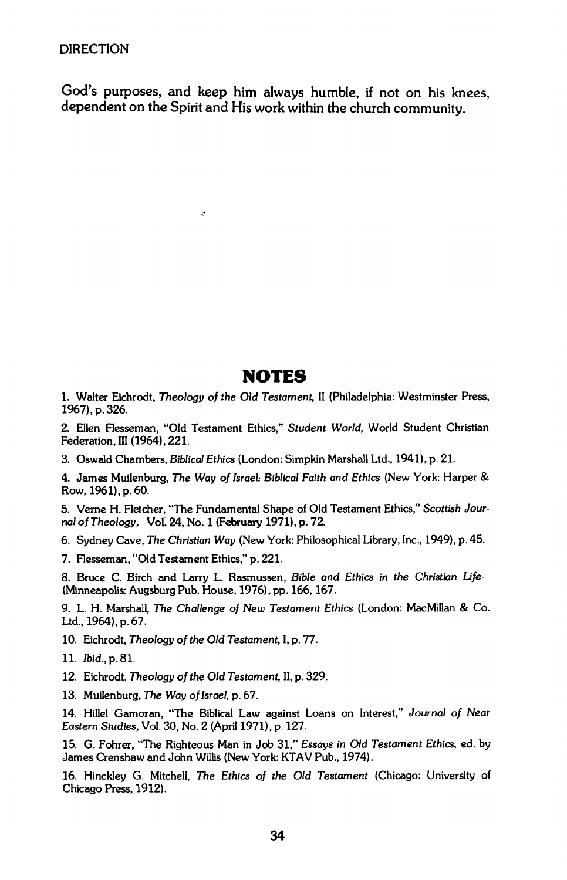**God's purposes, and keep him always humble, if not on his knees, dependent on the Spirit and His work within the church community.** 

 $\hat{\mathcal{L}}$ 

# **NOTES**

1. Walter Eichrodt, *Theology of the Oíd Testament,* II (Philadelphia: Westminster Press, 1967), p. 326.

2. Ellen Flesseman, "Old Testament Ethics," *Student World,* World Student Christian Federation, III (1964), 221.

3. Oswald Chambers, *Biblical Ethics* (London: Simpkin Marshall Ltd., 1941), p. 21.

**4. James Muilenburg,** *The Way of Israel: Biblical Faith and Ethics* **(New York: Harper &**  Row, 1961), p. 60.

5. Verne H. Fletcher, "The Fundamental Shape of Old Testament Ethics," *Scottish Journal of Theology,* **Vol. 24, No. 1 (February 1971), p. 72.** 

6. Sydney Cave, *The Christian Way* (New York: Philosophical Library, Inc., 1949), p. 45.

7. Flesseman, "Old Testament Ethics," p. 221.

8. Bruce C. Birch and Larry L. Rasmussen, *Bible and Ethics in the Christian Life-* (Minneapolis: Augsburg Pub. House, 1976), pp. 166,167.

9. L. H. Marshall, *The Challenge of New Testament Ethics* (London: MacMillan & Co. Ltd., 1964), p. 67.

**10. Eichrodt,** *Theology of the Old Testament,* **I, p. 77.** 

- **12. Eichrodt,** *Theology of the Old Testament,* **II, p. 329.**
- 13. Muilenburg, *The Way of Israel,* p. 67.

14. Hillel Gamoran, "The Biblical Law against Loans on Interest," *Journal of Near Eastern Studies,* Vol. 30, No. 2 (April 1971), p. 127.

15. G. Fohrer, "The Righteous Man in Job 31," *Essays in Old Testament Ethics, ed.* by James Crenshaw and John Willis (New York: KTAV Pub., 1974).

16. Hinckley G. Mitchell, *The Ethics of the Old Testament* (Chicago: University of Chicago Press, 1912).

<sup>11.</sup> *Ibid.,* p. 81.